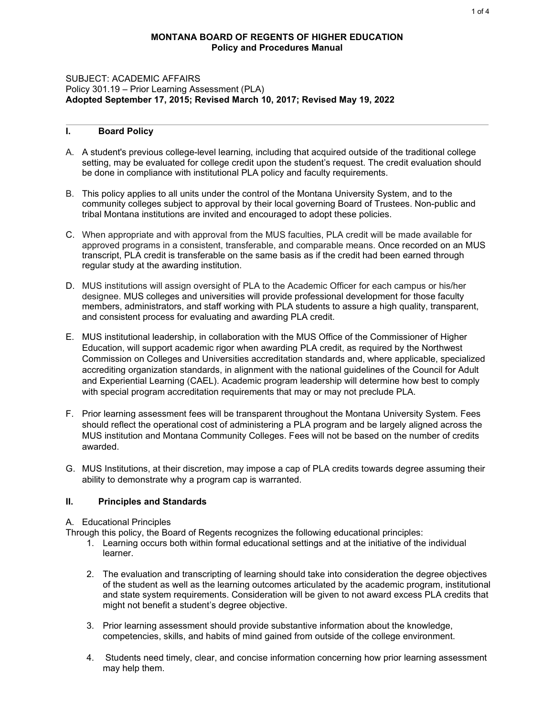### **MONTANA BOARD OF REGENTS OF HIGHER EDUCATION Policy and Procedures Manual**

#### SUBJECT: ACADEMIC AFFAIRS Policy 301.19 – Prior Learning Assessment (PLA) **Adopted September 17, 2015; Revised March 10, 2017; Revised May 19, 2022**

# **I. Board Policy**

- A. A student's previous college-level learning, including that acquired outside of the traditional college setting, may be evaluated for college credit upon the student's request. The credit evaluation should be done in compliance with institutional PLA policy and faculty requirements.
- B. This policy applies to all units under the control of the Montana University System, and to the community colleges subject to approval by their local governing Board of Trustees. Non-public and tribal Montana institutions are invited and encouraged to adopt these policies.
- C. When appropriate and with approval from the MUS faculties, PLA credit will be made available for approved programs in a consistent, transferable, and comparable means. Once recorded on an MUS transcript, PLA credit is transferable on the same basis as if the credit had been earned through regular study at the awarding institution.
- D. MUS institutions will assign oversight of PLA to the Academic Officer for each campus or his/her designee. MUS colleges and universities will provide professional development for those faculty members, administrators, and staff working with PLA students to assure a high quality, transparent, and consistent process for evaluating and awarding PLA credit.
- E. MUS institutional leadership, in collaboration with the MUS Office of the Commissioner of Higher Education, will support academic rigor when awarding PLA credit, as required by the Northwest Commission on Colleges and Universities accreditation standards and, where applicable, specialized accrediting organization standards, in alignment with the national guidelines of the Council for Adult and Experiential Learning (CAEL). Academic program leadership will determine how best to comply with special program accreditation requirements that may or may not preclude PLA.
- F. Prior learning assessment fees will be transparent throughout the Montana University System. Fees should reflect the operational cost of administering a PLA program and be largely aligned across the MUS institution and Montana Community Colleges. Fees will not be based on the number of credits awarded.
- G. MUS Institutions, at their discretion, may impose a cap of PLA credits towards degree assuming their ability to demonstrate why a program cap is warranted.

#### **II. Principles and Standards**

A. Educational Principles

Through this policy, the Board of Regents recognizes the following educational principles:

- 1. Learning occurs both within formal educational settings and at the initiative of the individual learner.
- 2. The evaluation and transcripting of learning should take into consideration the degree objectives of the student as well as the learning outcomes articulated by the academic program, institutional and state system requirements. Consideration will be given to not award excess PLA credits that might not benefit a student's degree objective.
- 3. Prior learning assessment should provide substantive information about the knowledge, competencies, skills, and habits of mind gained from outside of the college environment.
- 4. Students need timely, clear, and concise information concerning how prior learning assessment may help them.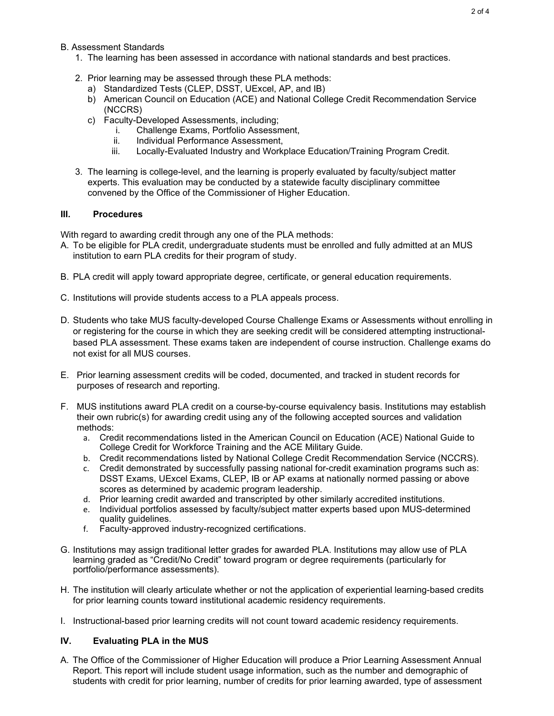## B. Assessment Standards

- 1. The learning has been assessed in accordance with national standards and best practices.
- 2. Prior learning may be assessed through these PLA methods:
	- a) Standardized Tests (CLEP, DSST, UExcel, AP, and IB)
	- b) American Council on Education (ACE) and National College Credit Recommendation Service (NCCRS)
	- c) Faculty-Developed Assessments, including;
		- i. Challenge Exams, Portfolio Assessment,<br>ii. Individual Performance Assessment.
		- Individual Performance Assessment,
		- iii. Locally-Evaluated Industry and Workplace Education/Training Program Credit.
- 3. The learning is college-level, and the learning is properly evaluated by faculty/subject matter experts. This evaluation may be conducted by a statewide faculty disciplinary committee convened by the Office of the Commissioner of Higher Education.

#### **III. Procedures**

With regard to awarding credit through any one of the PLA methods:

- A. To be eligible for PLA credit, undergraduate students must be enrolled and fully admitted at an MUS institution to earn PLA credits for their program of study.
- B. PLA credit will apply toward appropriate degree, certificate, or general education requirements.
- C. Institutions will provide students access to a PLA appeals process.
- D. Students who take MUS faculty-developed Course Challenge Exams or Assessments without enrolling in or registering for the course in which they are seeking credit will be considered attempting instructionalbased PLA assessment. These exams taken are independent of course instruction. Challenge exams do not exist for all MUS courses.
- E. Prior learning assessment credits will be coded, documented, and tracked in student records for purposes of research and reporting.
- F. MUS institutions award PLA credit on a course-by-course equivalency basis. Institutions may establish their own rubric(s) for awarding credit using any of the following accepted sources and validation methods:
	- a. Credit recommendations listed in the American Council on Education (ACE) National Guide to College Credit for Workforce Training and the ACE Military Guide.
	- b. Credit recommendations listed by National College Credit Recommendation Service (NCCRS).
	- c. Credit demonstrated by successfully passing national for-credit examination programs such as: DSST Exams, UExcel Exams, CLEP, IB or AP exams at nationally normed passing or above scores as determined by academic program leadership.
	- d. Prior learning credit awarded and transcripted by other similarly accredited institutions.
	- e. Individual portfolios assessed by faculty/subject matter experts based upon MUS-determined quality guidelines.
	- f. Faculty-approved industry-recognized certifications.
- G. Institutions may assign traditional letter grades for awarded PLA. Institutions may allow use of PLA learning graded as "Credit/No Credit" toward program or degree requirements (particularly for portfolio/performance assessments).
- H. The institution will clearly articulate whether or not the application of experiential learning-based credits for prior learning counts toward institutional academic residency requirements.
- I. Instructional-based prior learning credits will not count toward academic residency requirements.

## **IV. Evaluating PLA in the MUS**

A. The Office of the Commissioner of Higher Education will produce a Prior Learning Assessment Annual Report. This report will include student usage information, such as the number and demographic of students with credit for prior learning, number of credits for prior learning awarded, type of assessment